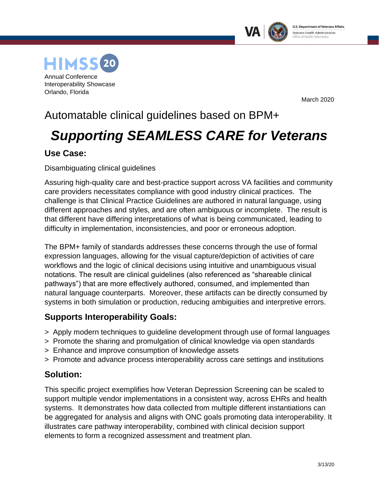



March 2020

# Automatable clinical guidelines based on BPM+

## *Supporting SEAMLESS CARE for Veterans*

### **Use Case:**

Disambiguating clinical guidelines

Assuring high-quality care and best-practice support across VA facilities and community care providers necessitates compliance with good industry clinical practices. The challenge is that Clinical Practice Guidelines are authored in natural language, using different approaches and styles, and are often ambiguous or incomplete. The result is that different have differing interpretations of what is being communicated, leading to difficulty in implementation, inconsistencies, and poor or erroneous adoption.

The BPM+ family of standards addresses these concerns through the use of formal expression languages, allowing for the visual capture/depiction of activities of care workflows and the logic of clinical decisions using intuitive and unambiguous visual notations. The result are clinical guidelines (also referenced as "shareable clinical pathways") that are more effectively authored, consumed, and implemented than natural language counterparts. Moreover, these artifacts can be directly consumed by systems in both simulation or production, reducing ambiguities and interpretive errors.

### **Supports Interoperability Goals:**

- > Apply modern techniques to guideline development through use of formal languages
- > Promote the sharing and promulgation of clinical knowledge via open standards
- > Enhance and improve consumption of knowledge assets
- > Promote and advance process interoperability across care settings and institutions

### **Solution:**

This specific project exemplifies how Veteran Depression Screening can be scaled to support multiple vendor implementations in a consistent way, across EHRs and health systems. It demonstrates how data collected from multiple different instantiations can be aggregated for analysis and aligns with ONC goals promoting data interoperability. It illustrates care pathway interoperability, combined with clinical decision support elements to form a recognized assessment and treatment plan.